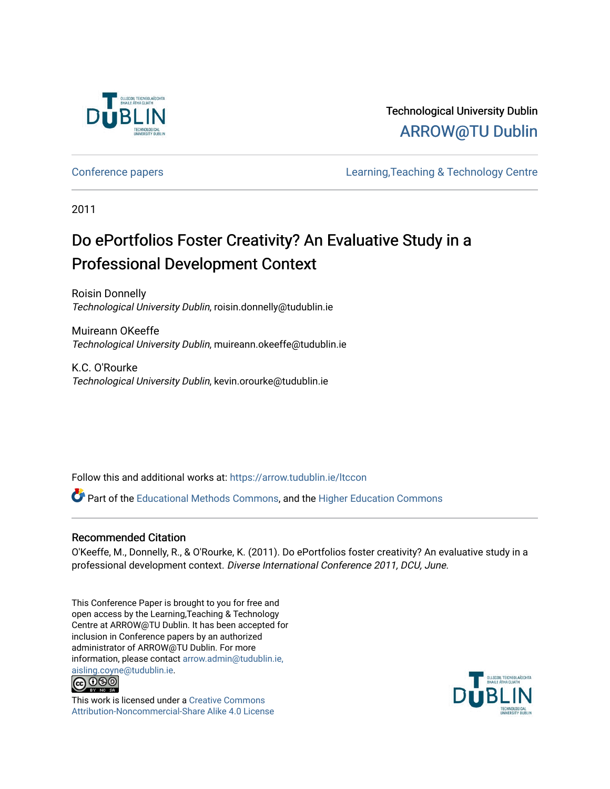

# Technological University Dublin [ARROW@TU Dublin](https://arrow.tudublin.ie/)

[Conference papers](https://arrow.tudublin.ie/ltccon) [Learning,Teaching & Technology Centre](https://arrow.tudublin.ie/ltc) 

2011

# Do ePortfolios Foster Creativity? An Evaluative Study in a Professional Development Context

Roisin Donnelly Technological University Dublin, roisin.donnelly@tudublin.ie

Muireann OKeeffe Technological University Dublin, muireann.okeeffe@tudublin.ie

K.C. O'Rourke Technological University Dublin, kevin.orourke@tudublin.ie

Follow this and additional works at: [https://arrow.tudublin.ie/ltccon](https://arrow.tudublin.ie/ltccon?utm_source=arrow.tudublin.ie%2Fltccon%2F30&utm_medium=PDF&utm_campaign=PDFCoverPages)

Part of the [Educational Methods Commons,](http://network.bepress.com/hgg/discipline/1227?utm_source=arrow.tudublin.ie%2Fltccon%2F30&utm_medium=PDF&utm_campaign=PDFCoverPages) and the [Higher Education Commons](http://network.bepress.com/hgg/discipline/1245?utm_source=arrow.tudublin.ie%2Fltccon%2F30&utm_medium=PDF&utm_campaign=PDFCoverPages) 

#### Recommended Citation

O'Keeffe, M., Donnelly, R., & O'Rourke, K. (2011). Do ePortfolios foster creativity? An evaluative study in a professional development context. Diverse International Conference 2011, DCU, June.

This Conference Paper is brought to you for free and open access by the Learning,Teaching & Technology Centre at ARROW@TU Dublin. It has been accepted for inclusion in Conference papers by an authorized administrator of ARROW@TU Dublin. For more information, please contact [arrow.admin@tudublin.ie,](mailto:arrow.admin@tudublin.ie,%20aisling.coyne@tudublin.ie)  [aisling.coyne@tudublin.ie.](mailto:arrow.admin@tudublin.ie,%20aisling.coyne@tudublin.ie)<br>© 090



This work is licensed under a [Creative Commons](http://creativecommons.org/licenses/by-nc-sa/4.0/) [Attribution-Noncommercial-Share Alike 4.0 License](http://creativecommons.org/licenses/by-nc-sa/4.0/)

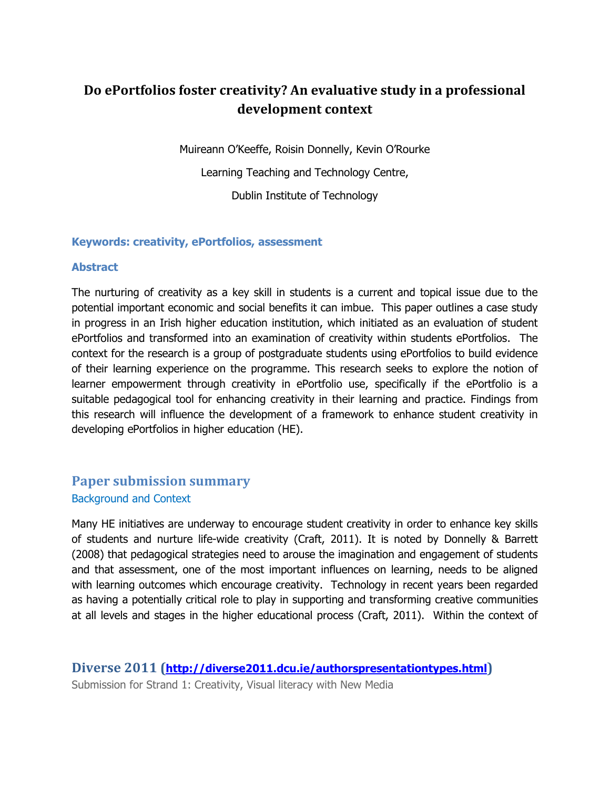# **Do ePortfolios foster creativity? An evaluative study in a professional development context**

Muireann O'Keeffe, Roisin Donnelly, Kevin O'Rourke Learning Teaching and Technology Centre, Dublin Institute of Technology

#### **Keywords: creativity, ePortfolios, assessment**

#### **Abstract**

The nurturing of creativity as a key skill in students is a current and topical issue due to the potential important economic and social benefits it can imbue. This paper outlines a case study in progress in an Irish higher education institution, which initiated as an evaluation of student ePortfolios and transformed into an examination of creativity within students ePortfolios. The context for the research is a group of postgraduate students using ePortfolios to build evidence of their learning experience on the programme. This research seeks to explore the notion of learner empowerment through creativity in ePortfolio use, specifically if the ePortfolio is a suitable pedagogical tool for enhancing creativity in their learning and practice. Findings from this research will influence the development of a framework to enhance student creativity in developing ePortfolios in higher education (HE).

# **Paper submission summary**  Background and Context

Many HE initiatives are underway to encourage student creativity in order to enhance key skills of students and nurture life-wide creativity (Craft, 2011). It is noted by Donnelly & Barrett (2008) that pedagogical strategies need to arouse the imagination and engagement of students and that assessment, one of the most important influences on learning, needs to be aligned with learning outcomes which encourage creativity. Technology in recent years been regarded as having a potentially critical role to play in supporting and transforming creative communities at all levels and stages in the higher educational process (Craft, 2011). Within the context of

**Diverse 2011 (<http://diverse2011.dcu.ie/authorspresentationtypes.html>)**  Submission for Strand 1: Creativity, Visual literacy with New Media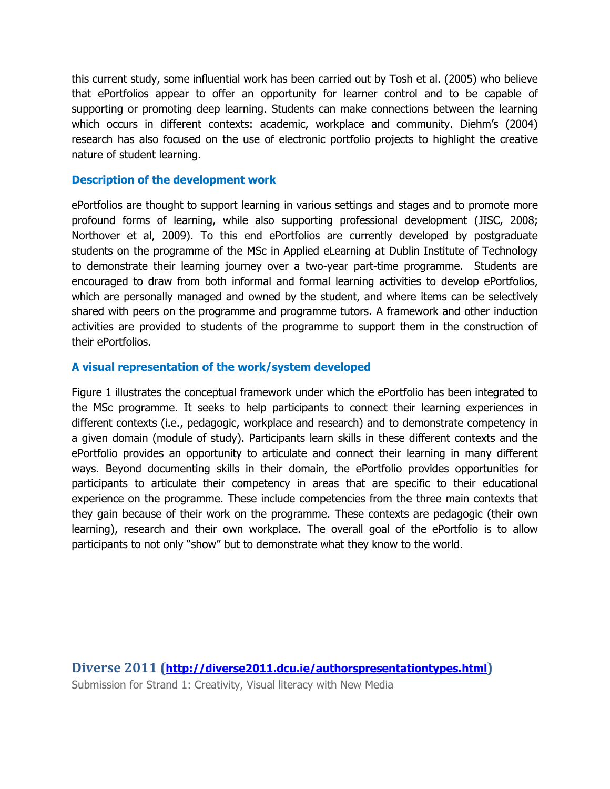this current study, some influential work has been carried out by Tosh et al. (2005) who believe that ePortfolios appear to offer an opportunity for learner control and to be capable of supporting or promoting deep learning. Students can make connections between the learning which occurs in different contexts: academic, workplace and community. Diehm's (2004) research has also focused on the use of electronic portfolio projects to highlight the creative nature of student learning.

#### **Description of the development work**

ePortfolios are thought to support learning in various settings and stages and to promote more profound forms of learning, while also supporting professional development (JISC, 2008; Northover et al, 2009). To this end ePortfolios are currently developed by postgraduate students on the programme of the MSc in Applied eLearning at Dublin Institute of Technology to demonstrate their learning journey over a two-year part-time programme. Students are encouraged to draw from both informal and formal learning activities to develop ePortfolios, which are personally managed and owned by the student, and where items can be selectively shared with peers on the programme and programme tutors. A framework and other induction activities are provided to students of the programme to support them in the construction of their ePortfolios.

#### **A visual representation of the work/system developed**

Figure 1 illustrates the conceptual framework under which the ePortfolio has been integrated to the MSc programme. It seeks to help participants to connect their learning experiences in different contexts (i.e., pedagogic, workplace and research) and to demonstrate competency in a given domain (module of study). Participants learn skills in these different contexts and the ePortfolio provides an opportunity to articulate and connect their learning in many different ways. Beyond documenting skills in their domain, the ePortfolio provides opportunities for participants to articulate their competency in areas that are specific to their educational experience on the programme. These include competencies from the three main contexts that they gain because of their work on the programme. These contexts are pedagogic (their own learning), research and their own workplace. The overall goal of the ePortfolio is to allow participants to not only "show" but to demonstrate what they know to the world.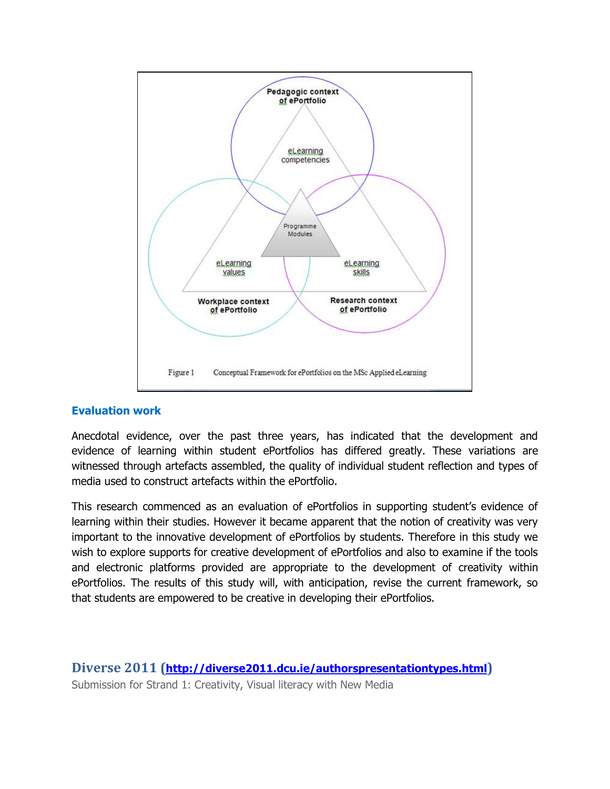

## **Evaluation work**

Anecdotal evidence, over the past three years, has indicated that the development and evidence of learning within student ePortfolios has differed greatly. These variations are witnessed through artefacts assembled, the quality of individual student reflection and types of media used to construct artefacts within the ePortfolio.

This research commenced as an evaluation of ePortfolios in supporting student's evidence of learning within their studies. However it became apparent that the notion of creativity was very important to the innovative development of ePortfolios by students. Therefore in this study we wish to explore supports for creative development of ePortfolios and also to examine if the tools and electronic platforms provided are appropriate to the development of creativity within ePortfolios. The results of this study will, with anticipation, revise the current framework, so that students are empowered to be creative in developing their ePortfolios.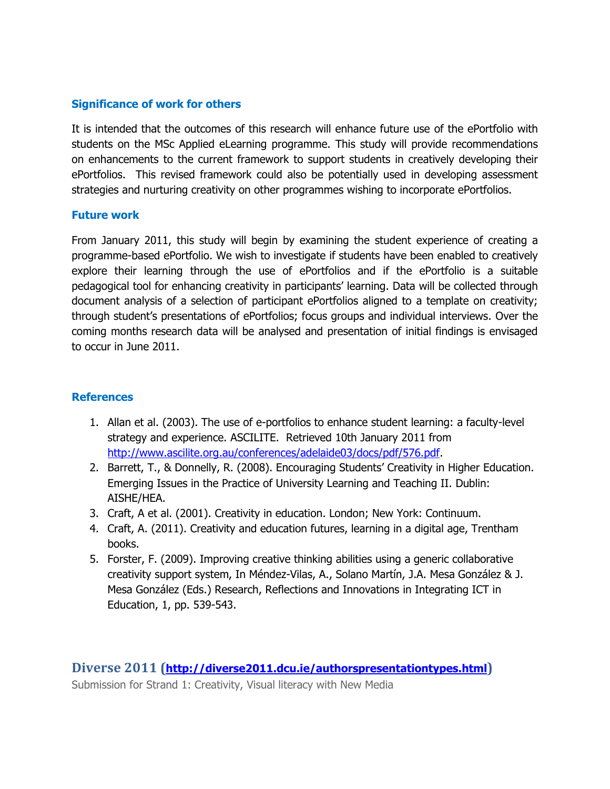### **Significance of work for others**

It is intended that the outcomes of this research will enhance future use of the ePortfolio with students on the MSc Applied eLearning programme. This study will provide recommendations on enhancements to the current framework to support students in creatively developing their ePortfolios. This revised framework could also be potentially used in developing assessment strategies and nurturing creativity on other programmes wishing to incorporate ePortfolios.

#### **Future work**

From January 2011, this study will begin by examining the student experience of creating a programme-based ePortfolio. We wish to investigate if students have been enabled to creatively explore their learning through the use of ePortfolios and if the ePortfolio is a suitable pedagogical tool for enhancing creativity in participants' learning. Data will be collected through document analysis of a selection of participant ePortfolios aligned to a template on creativity; through student's presentations of ePortfolios; focus groups and individual interviews. Over the coming months research data will be analysed and presentation of initial findings is envisaged to occur in June 2011.

## **References**

- 1. Allan et al. (2003). The use of e-portfolios to enhance student learning: a faculty-level strategy and experience. ASCILITE. Retrieved 10th January 2011 from [http://www.ascilite.org.au/conferences/adelaide03/docs/pdf/576.pdf.](http://www.ascilite.org.au/conferences/adelaide03/docs/pdf/576.pdf)
- 2. Barrett, T., & Donnelly, R. (2008). Encouraging Students' Creativity in Higher Education. Emerging Issues in the Practice of University Learning and Teaching II. Dublin: AISHE/HEA.
- 3. Craft, A et al. (2001). Creativity in education. London; New York: Continuum.
- 4. Craft, A. (2011). Creativity and education futures, learning in a digital age, Trentham books.
- 5. Forster, F. (2009). Improving creative thinking abilities using a generic collaborative creativity support system, In Méndez-Vilas, A., Solano Martín, J.A. Mesa González & J. Mesa González (Eds.) Research, Reflections and Innovations in Integrating ICT in Education, 1, pp. 539-543.